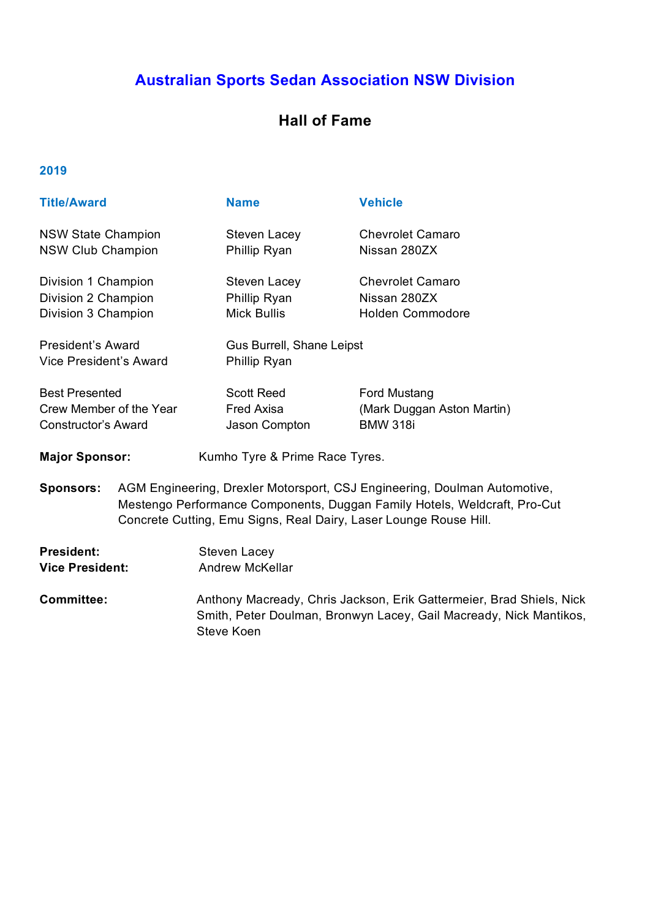# **Australian Sports Sedan Association NSW Division**

# **Hall of Fame**

| <b>Title/Award</b>                                                             |                                                                                                                                                                                                                             | <b>Name</b>                                        | <b>Vehicle</b>                                                                                                                             |  |
|--------------------------------------------------------------------------------|-----------------------------------------------------------------------------------------------------------------------------------------------------------------------------------------------------------------------------|----------------------------------------------------|--------------------------------------------------------------------------------------------------------------------------------------------|--|
| <b>NSW State Champion</b><br><b>NSW Club Champion</b>                          |                                                                                                                                                                                                                             | Steven Lacey<br>Phillip Ryan                       | <b>Chevrolet Camaro</b><br>Nissan 280ZX                                                                                                    |  |
| Division 1 Champion<br>Division 2 Champion<br>Division 3 Champion              |                                                                                                                                                                                                                             | Steven Lacey<br>Phillip Ryan<br><b>Mick Bullis</b> | <b>Chevrolet Camaro</b><br>Nissan 280ZX<br><b>Holden Commodore</b>                                                                         |  |
| <b>President's Award</b><br><b>Vice President's Award</b>                      |                                                                                                                                                                                                                             | Phillip Ryan                                       | Gus Burrell, Shane Leipst                                                                                                                  |  |
| <b>Best Presented</b><br>Crew Member of the Year<br><b>Constructor's Award</b> |                                                                                                                                                                                                                             | <b>Scott Reed</b><br>Fred Axisa<br>Jason Compton   | Ford Mustang<br>(Mark Duggan Aston Martin)<br><b>BMW 318i</b>                                                                              |  |
| <b>Major Sponsor:</b>                                                          |                                                                                                                                                                                                                             | Kumho Tyre & Prime Race Tyres.                     |                                                                                                                                            |  |
| <b>Sponsors:</b>                                                               | AGM Engineering, Drexler Motorsport, CSJ Engineering, Doulman Automotive,<br>Mestengo Performance Components, Duggan Family Hotels, Weldcraft, Pro-Cut<br>Concrete Cutting, Emu Signs, Real Dairy, Laser Lounge Rouse Hill. |                                                    |                                                                                                                                            |  |
| <b>President:</b><br><b>Vice President:</b>                                    |                                                                                                                                                                                                                             | <b>Steven Lacey</b><br><b>Andrew McKellar</b>      |                                                                                                                                            |  |
| <b>Committee:</b>                                                              |                                                                                                                                                                                                                             | Steve Koen                                         | Anthony Macready, Chris Jackson, Erik Gattermeier, Brad Shiels, Nick<br>Smith, Peter Doulman, Bronwyn Lacey, Gail Macready, Nick Mantikos, |  |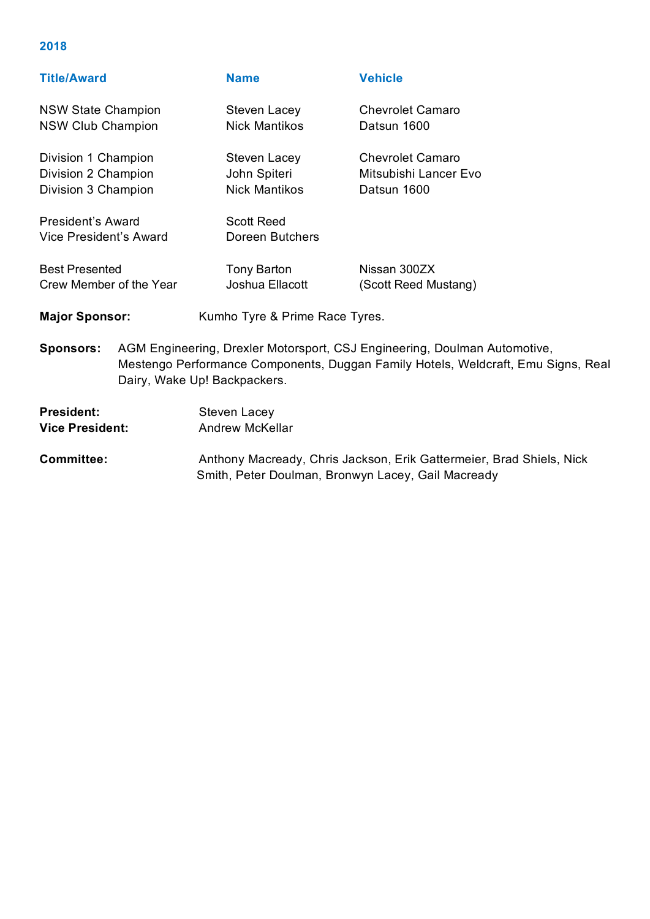| <b>Title/Award</b>                                                |                                                                                                                                                                                                | <b>Name</b>                                          | <b>Vehicle</b>                                                  |
|-------------------------------------------------------------------|------------------------------------------------------------------------------------------------------------------------------------------------------------------------------------------------|------------------------------------------------------|-----------------------------------------------------------------|
| <b>NSW State Champion</b><br><b>NSW Club Champion</b>             |                                                                                                                                                                                                | Steven Lacey<br><b>Nick Mantikos</b>                 | <b>Chevrolet Camaro</b><br>Datsun 1600                          |
| Division 1 Champion<br>Division 2 Champion<br>Division 3 Champion |                                                                                                                                                                                                | Steven Lacey<br>John Spiteri<br><b>Nick Mantikos</b> | <b>Chevrolet Camaro</b><br>Mitsubishi Lancer Evo<br>Datsun 1600 |
| President's Award<br>Vice President's Award                       |                                                                                                                                                                                                | <b>Scott Reed</b><br>Doreen Butchers                 |                                                                 |
| <b>Best Presented</b><br>Crew Member of the Year                  |                                                                                                                                                                                                | Tony Barton<br>Joshua Ellacott                       | Nissan 300ZX<br>(Scott Reed Mustang)                            |
| <b>Major Sponsor:</b>                                             |                                                                                                                                                                                                | Kumho Tyre & Prime Race Tyres.                       |                                                                 |
| <b>Sponsors:</b>                                                  | AGM Engineering, Drexler Motorsport, CSJ Engineering, Doulman Automotive,<br>Mestengo Performance Components, Duggan Family Hotels, Weldcraft, Emu Signs, Real<br>Dairy, Wake Up! Backpackers. |                                                      |                                                                 |

| <b>President:</b>      | Steven Lacey                                                                                                               |
|------------------------|----------------------------------------------------------------------------------------------------------------------------|
| <b>Vice President:</b> | Andrew McKellar                                                                                                            |
| Committee:             | Anthony Macready, Chris Jackson, Erik Gattermeier, Brad Shiels, Nick<br>Smith, Peter Doulman, Bronwyn Lacey, Gail Macready |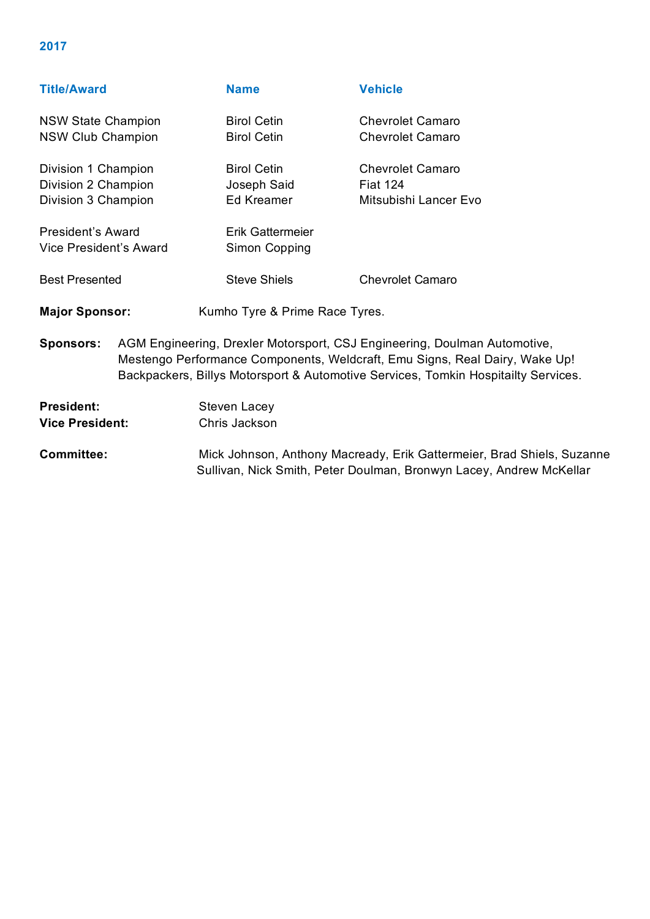| <b>Name</b>                                                                                                                                                                                                                                    | <b>Vehicle</b>                 |
|------------------------------------------------------------------------------------------------------------------------------------------------------------------------------------------------------------------------------------------------|--------------------------------|
| <b>Birol Cetin</b>                                                                                                                                                                                                                             | <b>Chevrolet Camaro</b>        |
| <b>Birol Cetin</b>                                                                                                                                                                                                                             | <b>Chevrolet Camaro</b>        |
| <b>Birol Cetin</b>                                                                                                                                                                                                                             | <b>Chevrolet Camaro</b>        |
| Joseph Said                                                                                                                                                                                                                                    | <b>Fiat 124</b>                |
| Ed Kreamer                                                                                                                                                                                                                                     | Mitsubishi Lancer Evo          |
| Erik Gattermeier                                                                                                                                                                                                                               |                                |
| Simon Copping                                                                                                                                                                                                                                  |                                |
| <b>Steve Shiels</b>                                                                                                                                                                                                                            | <b>Chevrolet Camaro</b>        |
|                                                                                                                                                                                                                                                |                                |
| AGM Engineering, Drexler Motorsport, CSJ Engineering, Doulman Automotive,<br>Mestengo Performance Components, Weldcraft, Emu Signs, Real Dairy, Wake Up!<br>Backpackers, Billys Motorsport & Automotive Services, Tomkin Hospitailty Services. |                                |
|                                                                                                                                                                                                                                                | Kumho Tyre & Prime Race Tyres. |

President: Steven Lacey **Vice President:** Chris Jackson

**Committee:** Mick Johnson, Anthony Macready, Erik Gattermeier, Brad Shiels, Suzanne Sullivan, Nick Smith, Peter Doulman, Bronwyn Lacey, Andrew McKellar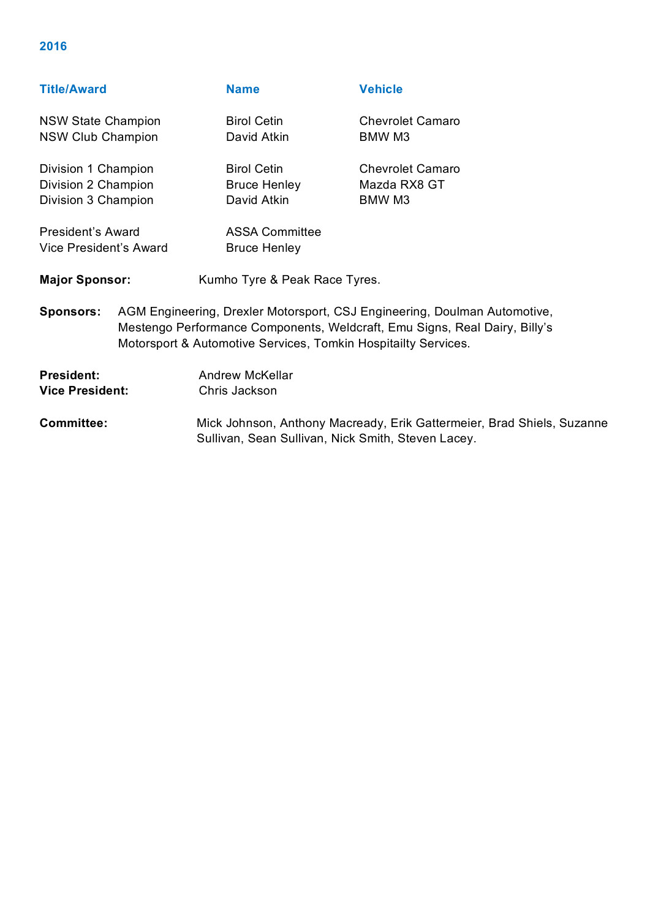### **Title/Award Name Vehicle**

NSW State Champion Birol Cetin Chevrolet Camaro NSW Club Champion David Atkin BMW M3 Division 1 Champion Birol Cetin Chevrolet Camaro Division 2 Champion Bruce Henley Mazda RX8 GT Division 3 Champion David Atkin BMW M3

President's Award **ASSA Committee** 

Vice President's Award Bruce Henley

Major Sponsor: Kumho Tyre & Peak Race Tyres.

**Sponsors:** AGM Engineering, Drexler Motorsport, CSJ Engineering, Doulman Automotive, Mestengo Performance Components, Weldcraft, Emu Signs, Real Dairy, Billy's Motorsport & Automotive Services, Tomkin Hospitailty Services.

**President:** Andrew McKellar **Vice President:** Chris Jackson

**Committee:** Mick Johnson, Anthony Macready, Erik Gattermeier, Brad Shiels, Suzanne Sullivan, Sean Sullivan, Nick Smith, Steven Lacey.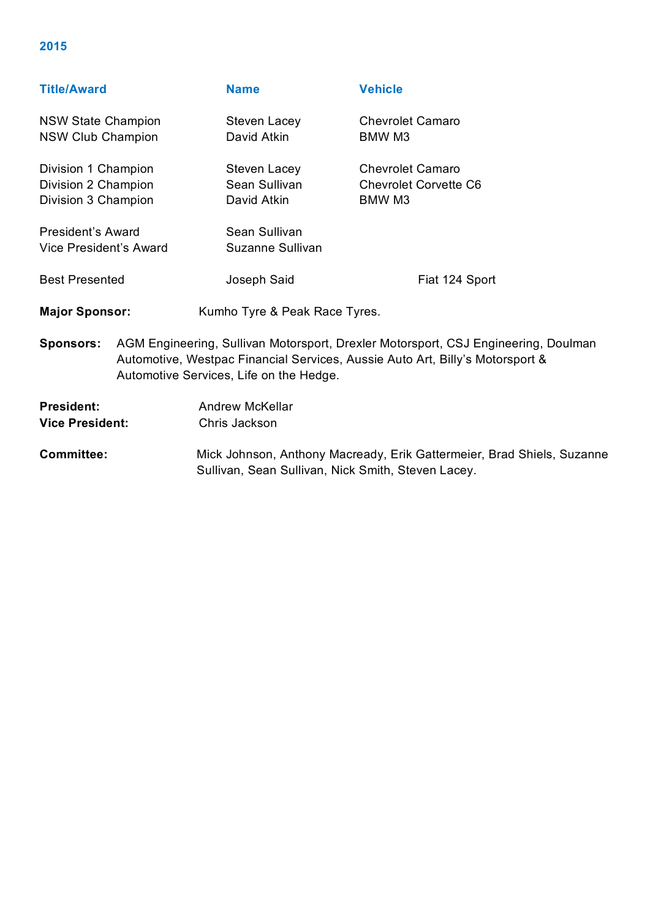|  | <b>Title/Award</b> |
|--|--------------------|
|  |                    |
|  |                    |

| <b>Title/Award</b>        |                                                                                                                                                                                                                | <b>Name</b>                   | <b>Vehicle</b>               |
|---------------------------|----------------------------------------------------------------------------------------------------------------------------------------------------------------------------------------------------------------|-------------------------------|------------------------------|
| <b>NSW State Champion</b> |                                                                                                                                                                                                                | Steven Lacey                  | <b>Chevrolet Camaro</b>      |
| <b>NSW Club Champion</b>  |                                                                                                                                                                                                                | David Atkin                   | BMW M3                       |
| Division 1 Champion       |                                                                                                                                                                                                                | Steven Lacey                  | <b>Chevrolet Camaro</b>      |
| Division 2 Champion       |                                                                                                                                                                                                                | Sean Sullivan                 | <b>Chevrolet Corvette C6</b> |
| Division 3 Champion       |                                                                                                                                                                                                                | David Atkin                   | BMW M3                       |
| <b>President's Award</b>  |                                                                                                                                                                                                                | Sean Sullivan                 |                              |
| Vice President's Award    |                                                                                                                                                                                                                | Suzanne Sullivan              |                              |
| <b>Best Presented</b>     |                                                                                                                                                                                                                | Joseph Said                   | Fiat 124 Sport               |
| <b>Major Sponsor:</b>     |                                                                                                                                                                                                                | Kumho Tyre & Peak Race Tyres. |                              |
| <b>Sponsors:</b>          | AGM Engineering, Sullivan Motorsport, Drexler Motorsport, CSJ Engineering, Doulman<br>Automotive, Westpac Financial Services, Aussie Auto Art, Billy's Motorsport &<br>Automotive Services, Life on the Hedge. |                               |                              |

**President:** Andrew McKellar **Vice President:** Chris Jackson

**Committee:** Mick Johnson, Anthony Macready, Erik Gattermeier, Brad Shiels, Suzanne Sullivan, Sean Sullivan, Nick Smith, Steven Lacey.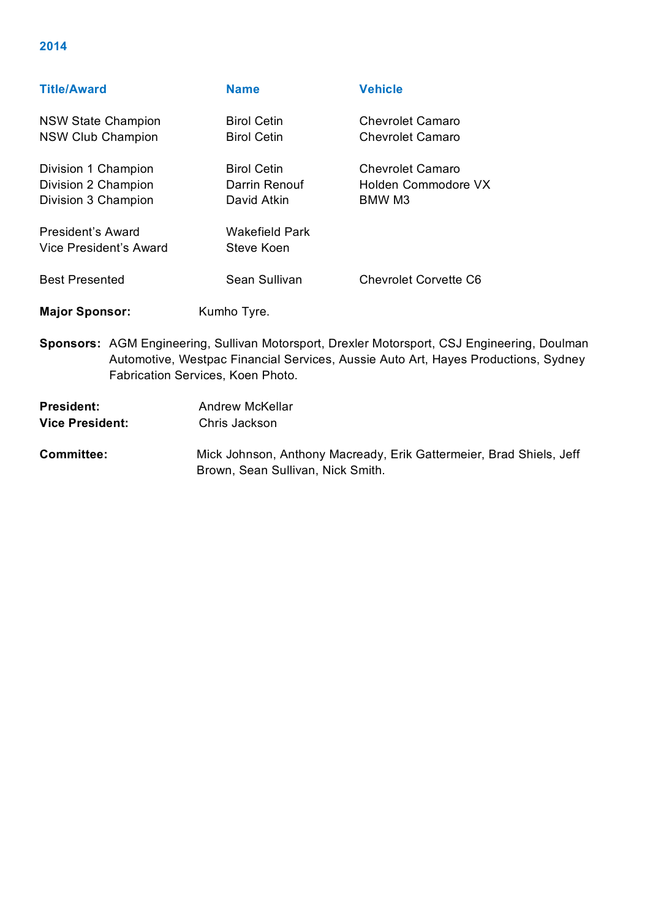| <b>Title/Award</b>        | <b>Name</b>           | <b>Vehicle</b>               |
|---------------------------|-----------------------|------------------------------|
| <b>NSW State Champion</b> | <b>Birol Cetin</b>    | <b>Chevrolet Camaro</b>      |
| <b>NSW Club Champion</b>  | <b>Birol Cetin</b>    | <b>Chevrolet Camaro</b>      |
| Division 1 Champion       | <b>Birol Cetin</b>    | <b>Chevrolet Camaro</b>      |
| Division 2 Champion       | Darrin Renouf         | Holden Commodore VX          |
| Division 3 Champion       | David Atkin           | BMW M3                       |
| <b>President's Award</b>  | <b>Wakefield Park</b> |                              |
| Vice President's Award    | Steve Koen            |                              |
| <b>Best Presented</b>     | Sean Sullivan         | <b>Chevrolet Corvette C6</b> |
| <b>Major Sponsor:</b>     | Kumho Tyre.           |                              |

**Sponsors:** AGM Engineering, Sullivan Motorsport, Drexler Motorsport, CSJ Engineering, Doulman Automotive, Westpac Financial Services, Aussie Auto Art, Hayes Productions, Sydney Fabrication Services, Koen Photo.

| President:      | Andrew McKellar |
|-----------------|-----------------|
| Vice President: | Chris Jackson   |

**Committee:** Mick Johnson, Anthony Macready, Erik Gattermeier, Brad Shiels, Jeff Brown, Sean Sullivan, Nick Smith.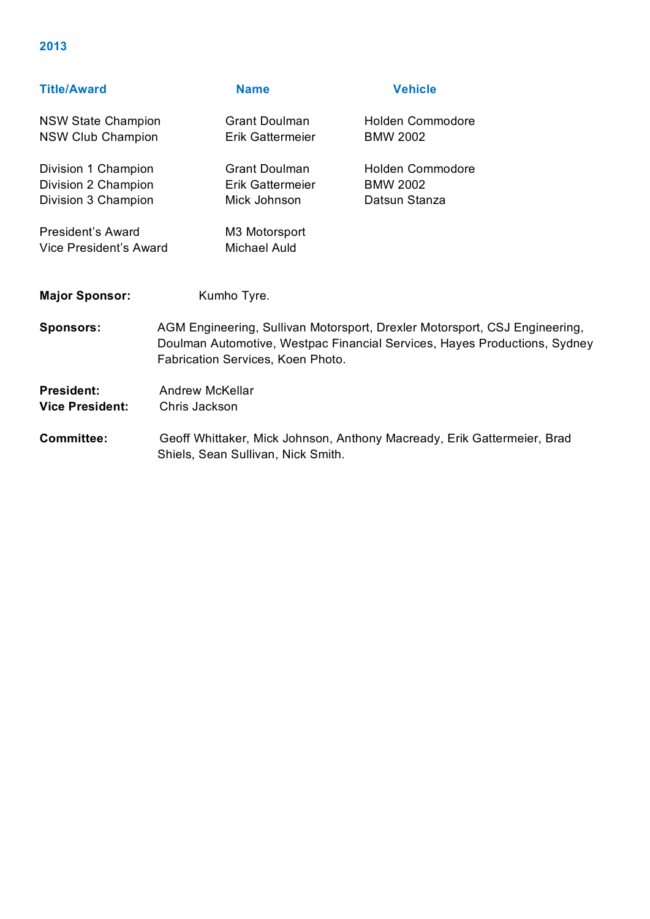| <b>Title/Award</b>                                                |                                         | <b>Name</b>                                              | <b>Vehicle</b>                                                                                                                                          |
|-------------------------------------------------------------------|-----------------------------------------|----------------------------------------------------------|---------------------------------------------------------------------------------------------------------------------------------------------------------|
| <b>NSW State Champion</b><br><b>NSW Club Champion</b>             |                                         | <b>Grant Doulman</b><br><b>Erik Gattermeier</b>          | <b>Holden Commodore</b><br><b>BMW 2002</b>                                                                                                              |
| Division 1 Champion<br>Division 2 Champion<br>Division 3 Champion |                                         | <b>Grant Doulman</b><br>Erik Gattermeier<br>Mick Johnson | <b>Holden Commodore</b><br><b>BMW 2002</b><br>Datsun Stanza                                                                                             |
| <b>President's Award</b><br>Vice President's Award                |                                         | M3 Motorsport<br><b>Michael Auld</b>                     |                                                                                                                                                         |
| <b>Major Sponsor:</b>                                             |                                         | Kumho Tyre.                                              |                                                                                                                                                         |
| <b>Sponsors:</b>                                                  |                                         | Fabrication Services, Koen Photo.                        | AGM Engineering, Sullivan Motorsport, Drexler Motorsport, CSJ Engineering,<br>Doulman Automotive, Westpac Financial Services, Hayes Productions, Sydney |
| <b>President:</b><br><b>Vice President:</b>                       | <b>Andrew McKellar</b><br>Chris Jackson |                                                          |                                                                                                                                                         |
| Committee:                                                        |                                         |                                                          | Geoff Whittaker, Mick Johnson, Anthony Macready, Frik Gattermejer, Brad                                                                                 |

**Committee:** Geoff Whittaker, Mick Johnson, Anthony Macready, Erik Gattermeier, Brad Shiels, Sean Sullivan, Nick Smith.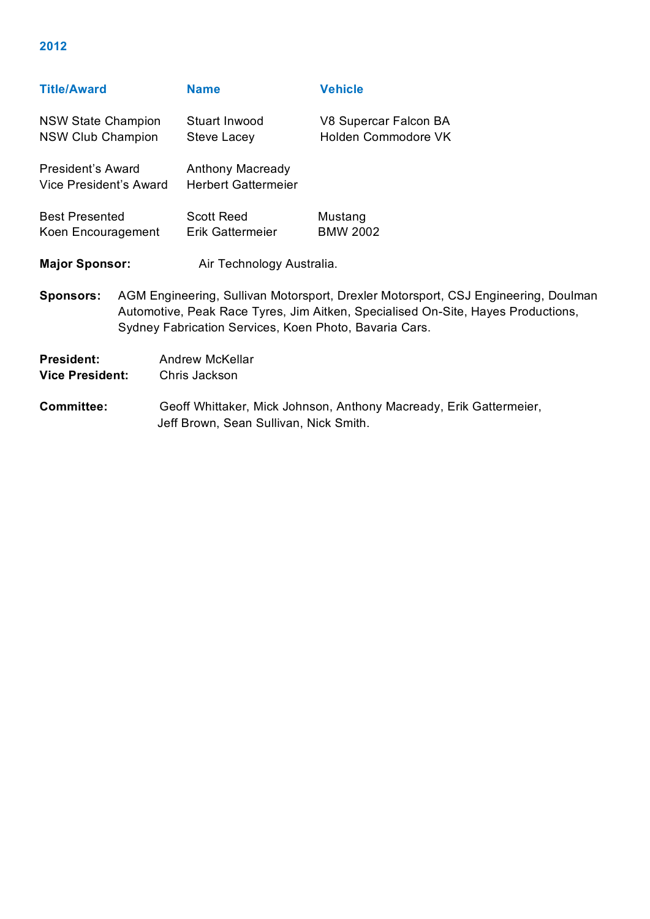| <b>Title/Award</b>                                 |                                                                                                                                                                                                                                  | <b>Name</b>                                                                                                  | <b>Vehicle</b>                               |  |
|----------------------------------------------------|----------------------------------------------------------------------------------------------------------------------------------------------------------------------------------------------------------------------------------|--------------------------------------------------------------------------------------------------------------|----------------------------------------------|--|
| <b>NSW State Champion</b><br>NSW Club Champion     |                                                                                                                                                                                                                                  | Stuart Inwood<br>Steve Lacey                                                                                 | V8 Supercar Falcon BA<br>Holden Commodore VK |  |
| <b>President's Award</b><br>Vice President's Award |                                                                                                                                                                                                                                  | <b>Anthony Macready</b><br><b>Herbert Gattermeier</b>                                                        |                                              |  |
| <b>Best Presented</b><br>Koen Encouragement        |                                                                                                                                                                                                                                  | <b>Scott Reed</b><br>Erik Gattermeier                                                                        | Mustang<br><b>BMW 2002</b>                   |  |
| <b>Major Sponsor:</b>                              |                                                                                                                                                                                                                                  | Air Technology Australia.                                                                                    |                                              |  |
| <b>Sponsors:</b>                                   | AGM Engineering, Sullivan Motorsport, Drexler Motorsport, CSJ Engineering, Doulman<br>Automotive, Peak Race Tyres, Jim Aitken, Specialised On-Site, Hayes Productions,<br>Sydney Fabrication Services, Koen Photo, Bavaria Cars. |                                                                                                              |                                              |  |
| <b>President:</b><br><b>Vice President:</b>        |                                                                                                                                                                                                                                  | <b>Andrew McKellar</b><br>Chris Jackson                                                                      |                                              |  |
| <b>Committee:</b>                                  |                                                                                                                                                                                                                                  | Geoff Whittaker, Mick Johnson, Anthony Macready, Erik Gattermeier,<br>Jeff Brown, Sean Sullivan, Nick Smith. |                                              |  |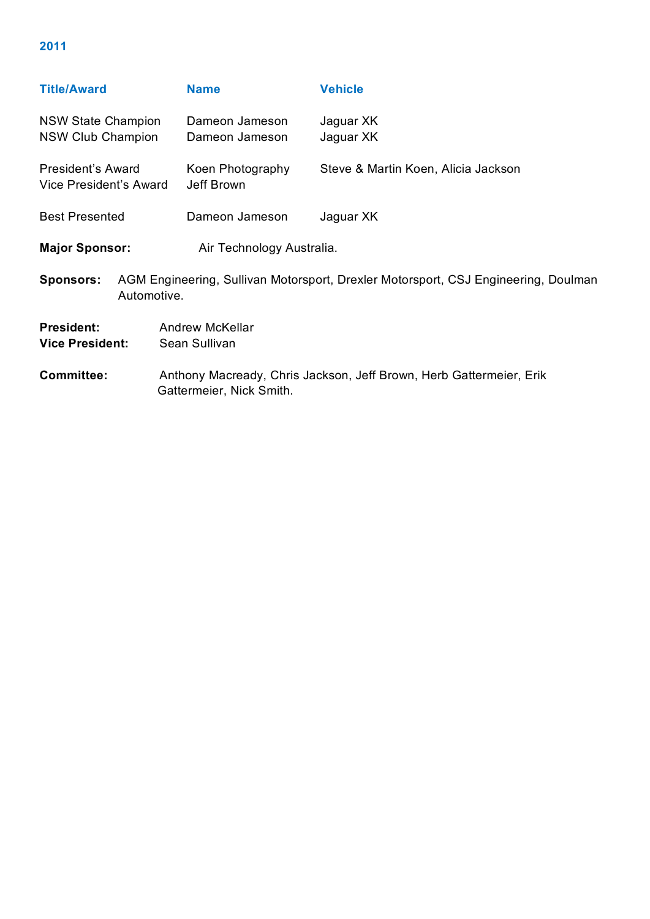| <b>Title/Award</b>                                                                     |             | <b>Name</b>                                                                                     | <b>Vehicle</b>                      |  |
|----------------------------------------------------------------------------------------|-------------|-------------------------------------------------------------------------------------------------|-------------------------------------|--|
| <b>NSW State Champion</b><br><b>NSW Club Champion</b>                                  |             | Dameon Jameson<br>Dameon Jameson                                                                | Jaguar XK<br>Jaguar XK              |  |
| President's Award<br>Vice President's Award                                            |             | Koen Photography<br>Jeff Brown                                                                  | Steve & Martin Koen, Alicia Jackson |  |
| <b>Best Presented</b>                                                                  |             | Dameon Jameson                                                                                  | Jaguar XK                           |  |
| <b>Major Sponsor:</b>                                                                  |             | Air Technology Australia.                                                                       |                                     |  |
| <b>Sponsors:</b>                                                                       | Automotive. | AGM Engineering, Sullivan Motorsport, Drexler Motorsport, CSJ Engineering, Doulman              |                                     |  |
| <b>President:</b><br><b>Andrew McKellar</b><br><b>Vice President:</b><br>Sean Sullivan |             |                                                                                                 |                                     |  |
| <b>Committee:</b>                                                                      |             | Anthony Macready, Chris Jackson, Jeff Brown, Herb Gattermeier, Erik<br>Gattermeier, Nick Smith. |                                     |  |